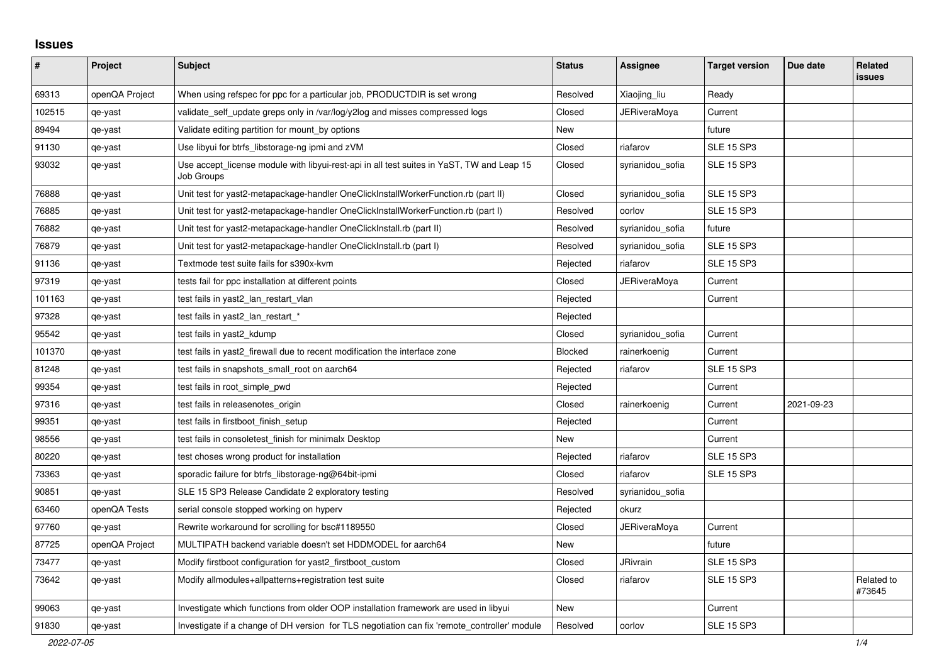## **Issues**

| #      | Project        | <b>Subject</b>                                                                                          | <b>Status</b> | Assignee         | <b>Target version</b> | Due date   | <b>Related</b><br><b>issues</b> |
|--------|----------------|---------------------------------------------------------------------------------------------------------|---------------|------------------|-----------------------|------------|---------------------------------|
| 69313  | openQA Project | When using refspec for ppc for a particular job, PRODUCTDIR is set wrong                                | Resolved      | Xiaojing liu     | Ready                 |            |                                 |
| 102515 | qe-yast        | validate self update greps only in /var/log/y2log and misses compressed logs                            | Closed        | JERiveraMoya     | Current               |            |                                 |
| 89494  | qe-yast        | Validate editing partition for mount_by options                                                         | New           |                  | future                |            |                                 |
| 91130  | qe-yast        | Use libyui for btrfs_libstorage-ng ipmi and zVM                                                         | Closed        | riafarov         | <b>SLE 15 SP3</b>     |            |                                 |
| 93032  | qe-yast        | Use accept license module with libyui-rest-api in all test suites in YaST, TW and Leap 15<br>Job Groups | Closed        | syrianidou sofia | <b>SLE 15 SP3</b>     |            |                                 |
| 76888  | qe-yast        | Unit test for yast2-metapackage-handler OneClickInstallWorkerFunction.rb (part II)                      | Closed        | syrianidou_sofia | <b>SLE 15 SP3</b>     |            |                                 |
| 76885  | qe-yast        | Unit test for yast2-metapackage-handler OneClickInstallWorkerFunction.rb (part I)                       | Resolved      | oorlov           | <b>SLE 15 SP3</b>     |            |                                 |
| 76882  | qe-yast        | Unit test for yast2-metapackage-handler OneClickInstall.rb (part II)                                    | Resolved      | syrianidou_sofia | future                |            |                                 |
| 76879  | qe-yast        | Unit test for yast2-metapackage-handler OneClickInstall.rb (part I)                                     | Resolved      | syrianidou_sofia | <b>SLE 15 SP3</b>     |            |                                 |
| 91136  | qe-yast        | Textmode test suite fails for s390x-kvm                                                                 | Rejected      | riafarov         | <b>SLE 15 SP3</b>     |            |                                 |
| 97319  | qe-yast        | tests fail for ppc installation at different points                                                     | Closed        | JERiveraMoya     | Current               |            |                                 |
| 101163 | qe-yast        | test fails in yast2_lan_restart_vlan                                                                    | Rejected      |                  | Current               |            |                                 |
| 97328  | qe-yast        | test fails in yast2_lan_restart_*                                                                       | Rejected      |                  |                       |            |                                 |
| 95542  | qe-yast        | test fails in yast2 kdump                                                                               | Closed        | syrianidou sofia | Current               |            |                                 |
| 101370 | qe-yast        | test fails in yast2_firewall due to recent modification the interface zone                              | Blocked       | rainerkoenig     | Current               |            |                                 |
| 81248  | qe-yast        | test fails in snapshots small root on aarch64                                                           | Rejected      | riafarov         | <b>SLE 15 SP3</b>     |            |                                 |
| 99354  | qe-yast        | test fails in root simple pwd                                                                           | Rejected      |                  | Current               |            |                                 |
| 97316  | qe-yast        | test fails in releasenotes origin                                                                       | Closed        | rainerkoenig     | Current               | 2021-09-23 |                                 |
| 99351  | qe-yast        | test fails in firstboot_finish_setup                                                                    | Rejected      |                  | Current               |            |                                 |
| 98556  | qe-yast        | test fails in consoletest finish for minimalx Desktop                                                   | <b>New</b>    |                  | Current               |            |                                 |
| 80220  | qe-yast        | test choses wrong product for installation                                                              | Rejected      | riafarov         | <b>SLE 15 SP3</b>     |            |                                 |
| 73363  | qe-yast        | sporadic failure for btrfs_libstorage-ng@64bit-ipmi                                                     | Closed        | riafarov         | <b>SLE 15 SP3</b>     |            |                                 |
| 90851  | qe-yast        | SLE 15 SP3 Release Candidate 2 exploratory testing                                                      | Resolved      | syrianidou_sofia |                       |            |                                 |
| 63460  | openQA Tests   | serial console stopped working on hyperv                                                                | Rejected      | okurz            |                       |            |                                 |
| 97760  | qe-yast        | Rewrite workaround for scrolling for bsc#1189550                                                        | Closed        | JERiveraMoya     | Current               |            |                                 |
| 87725  | openQA Project | MULTIPATH backend variable doesn't set HDDMODEL for aarch64                                             | New           |                  | future                |            |                                 |
| 73477  | qe-yast        | Modify firstboot configuration for yast2_firstboot_custom                                               | Closed        | <b>JRivrain</b>  | <b>SLE 15 SP3</b>     |            |                                 |
| 73642  | qe-yast        | Modify allmodules+allpatterns+registration test suite                                                   | Closed        | riafarov         | <b>SLE 15 SP3</b>     |            | Related to<br>#73645            |
| 99063  | qe-yast        | Investigate which functions from older OOP installation framework are used in libyui                    | New           |                  | Current               |            |                                 |
| 91830  | qe-yast        | Investigate if a change of DH version for TLS negotiation can fix 'remote controller' module            | Resolved      | oorlov           | <b>SLE 15 SP3</b>     |            |                                 |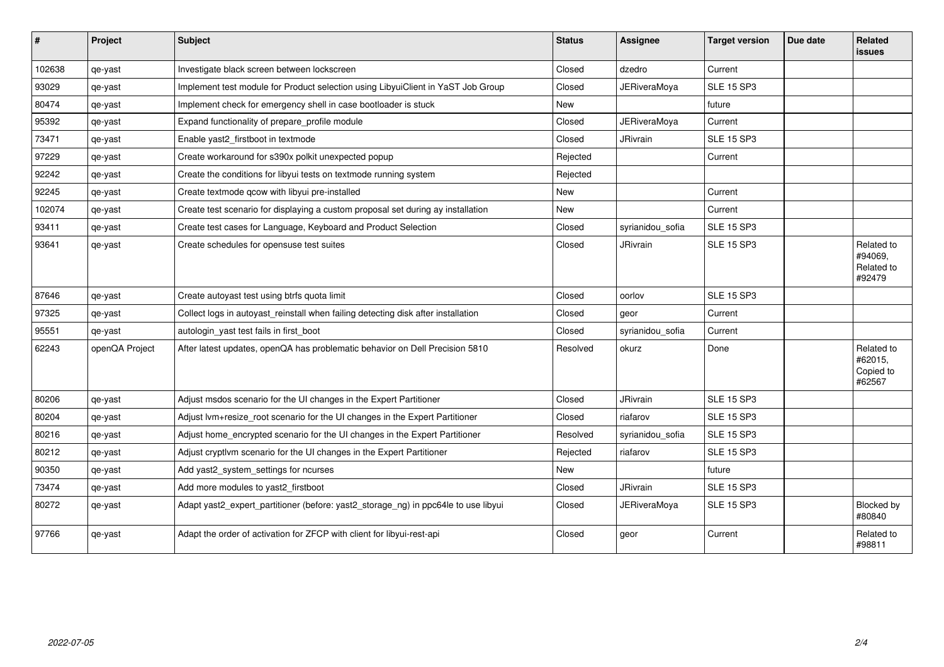| $\vert$ # | Project        | <b>Subject</b>                                                                     | <b>Status</b> | Assignee            | <b>Target version</b> | Due date | <b>Related</b><br><b>issues</b>               |
|-----------|----------------|------------------------------------------------------------------------------------|---------------|---------------------|-----------------------|----------|-----------------------------------------------|
| 102638    | qe-yast        | Investigate black screen between lockscreen                                        | Closed        | dzedro              | Current               |          |                                               |
| 93029     | qe-yast        | Implement test module for Product selection using LibyuiClient in YaST Job Group   | Closed        | <b>JERiveraMoya</b> | <b>SLE 15 SP3</b>     |          |                                               |
| 80474     | qe-yast        | Implement check for emergency shell in case bootloader is stuck                    | <b>New</b>    |                     | future                |          |                                               |
| 95392     | qe-yast        | Expand functionality of prepare_profile module                                     | Closed        | <b>JERiveraMoya</b> | Current               |          |                                               |
| 73471     | qe-yast        | Enable yast2_firstboot in textmode                                                 | Closed        | <b>JRivrain</b>     | <b>SLE 15 SP3</b>     |          |                                               |
| 97229     | qe-yast        | Create workaround for s390x polkit unexpected popup                                | Rejected      |                     | Current               |          |                                               |
| 92242     | qe-yast        | Create the conditions for libyui tests on textmode running system                  | Rejected      |                     |                       |          |                                               |
| 92245     | qe-yast        | Create textmode qcow with libyui pre-installed                                     | New           |                     | Current               |          |                                               |
| 102074    | qe-yast        | Create test scenario for displaying a custom proposal set during ay installation   | New           |                     | Current               |          |                                               |
| 93411     | qe-yast        | Create test cases for Language, Keyboard and Product Selection                     | Closed        | syrianidou sofia    | <b>SLE 15 SP3</b>     |          |                                               |
| 93641     | qe-yast        | Create schedules for opensuse test suites                                          | Closed        | <b>JRivrain</b>     | <b>SLE 15 SP3</b>     |          | Related to<br>#94069,<br>Related to<br>#92479 |
| 87646     | qe-yast        | Create autoyast test using btrfs quota limit                                       | Closed        | oorlov              | <b>SLE 15 SP3</b>     |          |                                               |
| 97325     | qe-yast        | Collect logs in autoyast_reinstall when failing detecting disk after installation  | Closed        | geor                | Current               |          |                                               |
| 95551     | qe-yast        | autologin yast test fails in first boot                                            | Closed        | syrianidou sofia    | Current               |          |                                               |
| 62243     | openQA Project | After latest updates, openQA has problematic behavior on Dell Precision 5810       | Resolved      | okurz               | Done                  |          | Related to<br>#62015,<br>Copied to<br>#62567  |
| 80206     | qe-yast        | Adjust msdos scenario for the UI changes in the Expert Partitioner                 | Closed        | JRivrain            | <b>SLE 15 SP3</b>     |          |                                               |
| 80204     | qe-yast        | Adjust lvm+resize_root scenario for the UI changes in the Expert Partitioner       | Closed        | riafarov            | <b>SLE 15 SP3</b>     |          |                                               |
| 80216     | qe-yast        | Adjust home_encrypted scenario for the UI changes in the Expert Partitioner        | Resolved      | syrianidou sofia    | <b>SLE 15 SP3</b>     |          |                                               |
| 80212     | qe-yast        | Adjust cryptivm scenario for the UI changes in the Expert Partitioner              | Rejected      | riafarov            | <b>SLE 15 SP3</b>     |          |                                               |
| 90350     | qe-yast        | Add yast2_system_settings for ncurses                                              | <b>New</b>    |                     | future                |          |                                               |
| 73474     | qe-yast        | Add more modules to yast2_firstboot                                                | Closed        | <b>JRivrain</b>     | <b>SLE 15 SP3</b>     |          |                                               |
| 80272     | qe-yast        | Adapt yast2_expert_partitioner (before: yast2_storage_ng) in ppc64le to use libyui | Closed        | <b>JERiveraMoya</b> | <b>SLE 15 SP3</b>     |          | Blocked by<br>#80840                          |
| 97766     | qe-yast        | Adapt the order of activation for ZFCP with client for libyui-rest-api             | Closed        | geor                | Current               |          | Related to<br>#98811                          |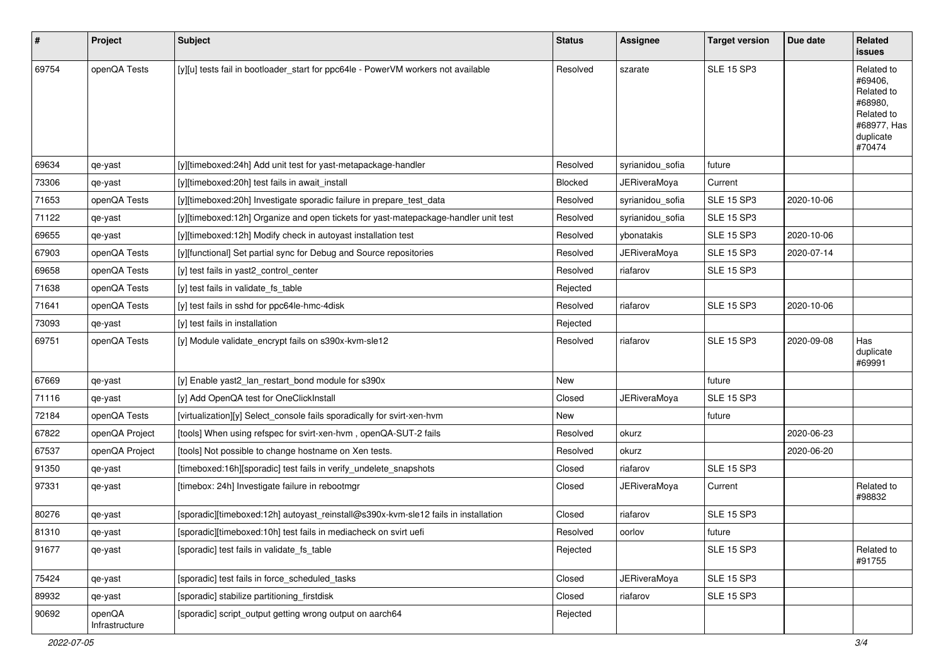| #     | Project                  | <b>Subject</b>                                                                      | <b>Status</b> | <b>Assignee</b>     | <b>Target version</b> | Due date   | Related<br>issues                                                                                  |
|-------|--------------------------|-------------------------------------------------------------------------------------|---------------|---------------------|-----------------------|------------|----------------------------------------------------------------------------------------------------|
| 69754 | openQA Tests             | [y][u] tests fail in bootloader_start for ppc64le - PowerVM workers not available   | Resolved      | szarate             | <b>SLE 15 SP3</b>     |            | Related to<br>#69406,<br>Related to<br>#68980,<br>Related to<br>#68977, Has<br>duplicate<br>#70474 |
| 69634 | qe-yast                  | [y][timeboxed:24h] Add unit test for yast-metapackage-handler                       | Resolved      | syrianidou_sofia    | future                |            |                                                                                                    |
| 73306 | qe-yast                  | [y][timeboxed:20h] test fails in await_install                                      | Blocked       | JERiveraMoya        | Current               |            |                                                                                                    |
| 71653 | openQA Tests             | [y][timeboxed:20h] Investigate sporadic failure in prepare test data                | Resolved      | syrianidou_sofia    | <b>SLE 15 SP3</b>     | 2020-10-06 |                                                                                                    |
| 71122 | qe-yast                  | [y][timeboxed:12h] Organize and open tickets for yast-matepackage-handler unit test | Resolved      | syrianidou_sofia    | <b>SLE 15 SP3</b>     |            |                                                                                                    |
| 69655 | qe-yast                  | [y][timeboxed:12h] Modify check in autoyast installation test                       | Resolved      | ybonatakis          | <b>SLE 15 SP3</b>     | 2020-10-06 |                                                                                                    |
| 67903 | openQA Tests             | [y][functional] Set partial sync for Debug and Source repositories                  | Resolved      | JERiveraMoya        | <b>SLE 15 SP3</b>     | 2020-07-14 |                                                                                                    |
| 69658 | openQA Tests             | [y] test fails in yast2_control_center                                              | Resolved      | riafarov            | <b>SLE 15 SP3</b>     |            |                                                                                                    |
| 71638 | openQA Tests             | [y] test fails in validate_fs_table                                                 | Rejected      |                     |                       |            |                                                                                                    |
| 71641 | openQA Tests             | [y] test fails in sshd for ppc64le-hmc-4disk                                        | Resolved      | riafarov            | <b>SLE 15 SP3</b>     | 2020-10-06 |                                                                                                    |
| 73093 | qe-yast                  | [y] test fails in installation                                                      | Rejected      |                     |                       |            |                                                                                                    |
| 69751 | openQA Tests             | [y] Module validate_encrypt fails on s390x-kvm-sle12                                | Resolved      | riafarov            | <b>SLE 15 SP3</b>     | 2020-09-08 | Has<br>duplicate<br>#69991                                                                         |
| 67669 | qe-yast                  | [y] Enable yast2_lan_restart_bond module for s390x                                  | New           |                     | future                |            |                                                                                                    |
| 71116 | qe-yast                  | [y] Add OpenQA test for OneClickInstall                                             | Closed        | JERiveraMoya        | <b>SLE 15 SP3</b>     |            |                                                                                                    |
| 72184 | openQA Tests             | [virtualization][y] Select_console fails sporadically for svirt-xen-hvm             | New           |                     | future                |            |                                                                                                    |
| 67822 | openQA Project           | [tools] When using refspec for svirt-xen-hvm, openQA-SUT-2 fails                    | Resolved      | okurz               |                       | 2020-06-23 |                                                                                                    |
| 67537 | openQA Project           | [tools] Not possible to change hostname on Xen tests.                               | Resolved      | okurz               |                       | 2020-06-20 |                                                                                                    |
| 91350 | qe-yast                  | [timeboxed:16h][sporadic] test fails in verify_undelete_snapshots                   | Closed        | riafarov            | <b>SLE 15 SP3</b>     |            |                                                                                                    |
| 97331 | qe-yast                  | [timebox: 24h] Investigate failure in rebootmgr                                     | Closed        | JERiveraMoya        | Current               |            | Related to<br>#98832                                                                               |
| 80276 | qe-yast                  | [sporadic][timeboxed:12h] autoyast_reinstall@s390x-kvm-sle12 fails in installation  | Closed        | riafarov            | <b>SLE 15 SP3</b>     |            |                                                                                                    |
| 81310 | qe-yast                  | [sporadic][timeboxed:10h] test fails in mediacheck on svirt uefi                    | Resolved      | oorlov              | future                |            |                                                                                                    |
| 91677 | qe-yast                  | [sporadic] test fails in validate_fs_table                                          | Rejected      |                     | <b>SLE 15 SP3</b>     |            | Related to<br>#91755                                                                               |
| 75424 | qe-yast                  | [sporadic] test fails in force_scheduled_tasks                                      | Closed        | <b>JERiveraMoya</b> | <b>SLE 15 SP3</b>     |            |                                                                                                    |
| 89932 | qe-yast                  | [sporadic] stabilize partitioning_firstdisk                                         | Closed        | riafarov            | <b>SLE 15 SP3</b>     |            |                                                                                                    |
| 90692 | openQA<br>Infrastructure | [sporadic] script_output getting wrong output on aarch64                            | Rejected      |                     |                       |            |                                                                                                    |